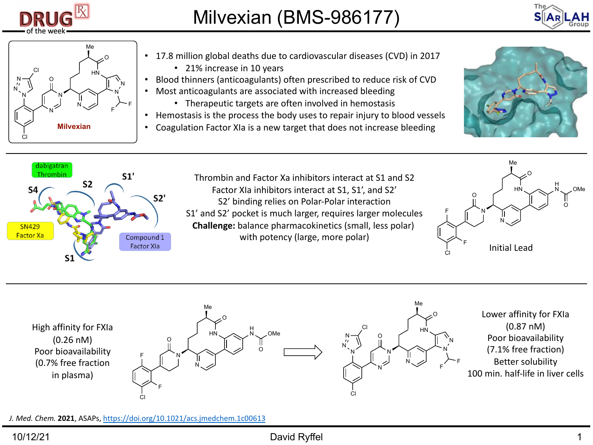

## Milvexian (BMS-986177)



- 17.8 million global deaths due to cardiovascular diseases (CVD) in 2017 • 21% increase in 10 years
- Blood thinners (anticoagulants) often prescribed to reduce risk of CVD • Most anticoagulants are associated with increased bleeding
	- Therapeutic targets are often involved in hemostasis
- Hemostasis is the process the body uses to repair injury to blood vessels
- Coagulation Factor XIa is a new target that does not increase bleeding





Thrombin and Factor Xa inhibitors interact at S1 and S2 Factor XIa inhibitors interact at S1, S1', and S2' S2' binding relies on Polar-Polar interaction [S1' and S2' pocket is](https://doi.org/10.1021/acs.jmedchem.1c00613) much larger, requires larger molecules **Challenge:** balance pharmacokinetics (small, less polar) with potency (large, more polar)



High affinity for FXIa (0.26 nM) Poor bioavailability (0.7% free fraction in plasma) N O HN N O Me Cl F F H O<sub>Me</sub> O N N O HN N N N O Me F F Cl N N N Cl Lowe Poo  $(7.1)$ Be  $100$  min.

*J. Med. Chem.* **2021**, ASAPs, https://doi.org/10.1021/acs.jmedchem.1c00613

## 10/12/21 David Ryffel